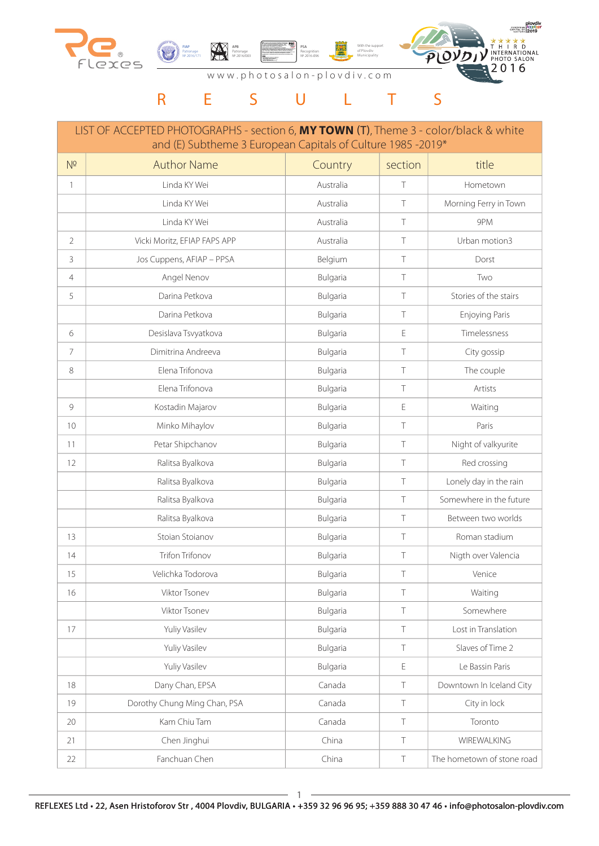





www.photosalon-plovdiv.com

# R E S U L T S

|                | LIST OF ACCEPTED PHOTOGRAPHS - section 6, MY TOWN (T), Theme 3 - color/black & white<br>and (E) Subtheme 3 European Capitals of Culture 1985 -2019* |           |         |                            |
|----------------|-----------------------------------------------------------------------------------------------------------------------------------------------------|-----------|---------|----------------------------|
| N <sup>2</sup> | <b>Author Name</b>                                                                                                                                  | Country   | section | title                      |
| $\mathbf{1}$   | Linda KY Wei                                                                                                                                        | Australia | T       | Hometown                   |
|                | Linda KY Wei                                                                                                                                        | Australia | T       | Morning Ferry in Town      |
|                | Linda KY Wei                                                                                                                                        | Australia | T       | 9PM                        |
| $\overline{2}$ | Vicki Moritz, EFIAP FAPS APP                                                                                                                        | Australia | $\top$  | Urban motion3              |
| 3              | Jos Cuppens, AFIAP - PPSA                                                                                                                           | Belgium   | T       | Dorst                      |
| 4              | Angel Nenov                                                                                                                                         | Bulgaria  | T       | Two                        |
| 5              | Darina Petkova                                                                                                                                      | Bulgaria  | Τ       | Stories of the stairs      |
|                | Darina Petkova                                                                                                                                      | Bulgaria  | T       | Enjoying Paris             |
| 6              | Desislava Tsvyatkova                                                                                                                                | Bulgaria  | E       | Timelessness               |
| $\overline{7}$ | Dimitrina Andreeva                                                                                                                                  | Bulgaria  | Τ       | City gossip                |
| 8              | Elena Trifonova                                                                                                                                     | Bulgaria  | $\top$  | The couple                 |
|                | Elena Trifonova                                                                                                                                     | Bulgaria  | $\top$  | Artists                    |
| 9              | Kostadin Majarov                                                                                                                                    | Bulgaria  | E       | Waiting                    |
| 10             | Minko Mihaylov                                                                                                                                      | Bulgaria  | T       | Paris                      |
| 11             | Petar Shipchanov                                                                                                                                    | Bulgaria  | $\top$  | Night of valkyurite        |
| 12             | Ralitsa Byalkova                                                                                                                                    | Bulgaria  | T       | Red crossing               |
|                | Ralitsa Byalkova                                                                                                                                    | Bulgaria  | Τ       | Lonely day in the rain     |
|                | Ralitsa Byalkova                                                                                                                                    | Bulgaria  | T       | Somewhere in the future    |
|                | Ralitsa Byalkova                                                                                                                                    | Bulgaria  | $\top$  | Between two worlds         |
| 13             | Stoian Stoianov                                                                                                                                     | Bulgaria  | T       | Roman stadium              |
| 14             | <b>Trifon Trifonov</b>                                                                                                                              | Bulgaria  | Τ       | Nigth over Valencia        |
| 15             | Velichka Todorova                                                                                                                                   | Bulgaria  |         | Venice                     |
| 16             | Viktor Tsonev                                                                                                                                       | Bulgaria  | T       | Waiting                    |
|                | Viktor Tsonev                                                                                                                                       | Bulgaria  | $\top$  | Somewhere                  |
| 17             | Yuliy Vasilev                                                                                                                                       | Bulgaria  | $\top$  | Lost in Translation        |
|                | Yuliy Vasilev                                                                                                                                       | Bulgaria  | $\top$  | Slaves of Time 2           |
|                | Yuliy Vasilev                                                                                                                                       | Bulgaria  | E       | Le Bassin Paris            |
| 18             | Dany Chan, EPSA                                                                                                                                     | Canada    | $\top$  | Downtown In Iceland City   |
| 19             | Dorothy Chung Ming Chan, PSA                                                                                                                        | Canada    | $\top$  | City in lock               |
| 20             | Kam Chiu Tam                                                                                                                                        | Canada    | $\top$  | Toronto                    |
| 21             | Chen Jinghui                                                                                                                                        | China     | $\top$  | WIREWALKING                |
| 22             | Fanchuan Chen                                                                                                                                       | China     | $\top$  | The hometown of stone road |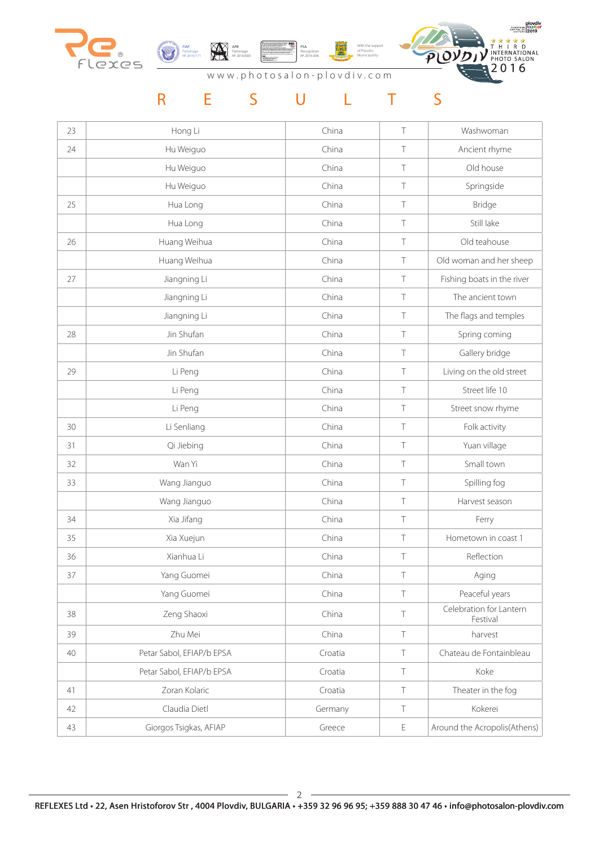



АPB Patronage № 2016/003

With the support of Plovdiv Municipality PSA Recognition № 2016-096



## www.photosalon-plovdiv.com

| 23 | Hong Li                   | China   | Τ           | Washwoman                           |
|----|---------------------------|---------|-------------|-------------------------------------|
| 24 | Hu Weiguo                 | China   | Τ           | Ancient rhyme                       |
|    | Hu Weiguo                 | China   | Τ           | Old house                           |
|    | Hu Weiguo                 | China   | Τ           | Springside                          |
| 25 | Hua Long                  | China   | Τ           | Bridge                              |
|    | Hua Long                  | China   | Τ           | Still lake                          |
| 26 | Huang Weihua              | China   | Τ           | Old teahouse                        |
|    | Huang Weihua              | China   | Τ           | Old woman and her sheep             |
| 27 | Jiangning Li              | China   | Τ           | Fishing boats in the river          |
|    | Jiangning Li              | China   | Τ           | The ancient town                    |
|    | Jiangning Li              | China   | Τ           | The flags and temples               |
| 28 | Jin Shufan                | China   | Τ           | Spring coming                       |
|    | Jin Shufan                | China   | $\top$      | Gallery bridge                      |
| 29 | Li Peng                   | China   | Τ           | Living on the old street            |
|    | Li Peng                   | China   | $\top$      | Street life 10                      |
|    | Li Peng                   | China   | $\top$      | Street snow rhyme                   |
| 30 | Li Senliang               | China   | $\top$      | Folk activity                       |
| 31 | Qi Jiebing                | China   | Τ           | Yuan village                        |
| 32 | Wan Yi                    | China   | Τ           | Small town                          |
| 33 | Wang Jianguo              | China   | Τ           | Spilling fog                        |
|    | Wang Jianguo              | China   | Τ           | Harvest season                      |
| 34 | Xia Jifang                | China   | Τ           | Ferry                               |
| 35 | Xia Xuejun                | China   | Τ           | Hometown in coast 1                 |
| 36 | Xianhua Li                | China   | $\top$      | Reflection                          |
| 37 | Yang Guomei               | China   | Τ           | Aging                               |
|    | Yang Guomei               | China   | $\top$      | Peaceful years                      |
| 38 | Zeng Shaoxi               | China   | T           | Celebration for Lantern<br>Festival |
| 39 | Zhu Mei                   | China   | $\top$      | harvest                             |
| 40 | Petar Sabol, EFIAP/b EPSA | Croatia | $\top$      | Chateau de Fontainbleau             |
|    | Petar Sabol, EFIAP/b EPSA | Croatia | Τ           | Koke                                |
| 41 | Zoran Kolaric             | Croatia | $\top$      | Theater in the fog                  |
| 42 | Claudia Dietl             | Germany | T           | Kokerei                             |
| 43 | Giorgos Tsigkas, AFIAP    | Greece  | $\mathsf E$ | Around the Acropolis(Athens)        |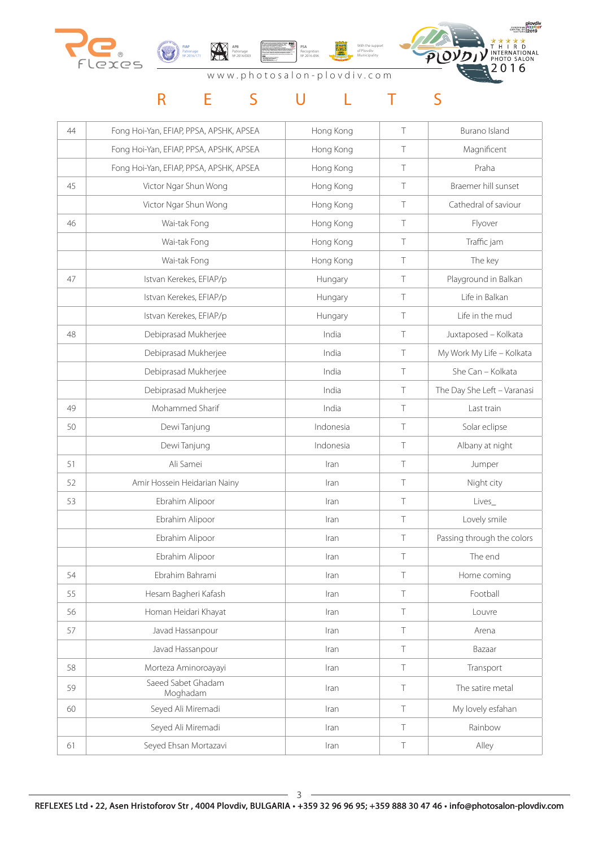





www.photosalon-plovdiv.com

| 44 | Fong Hoi-Yan, EFIAP, PPSA, APSHK, APSEA | Hong Kong | Τ      | Burano Island               |
|----|-----------------------------------------|-----------|--------|-----------------------------|
|    | Fong Hoi-Yan, EFIAP, PPSA, APSHK, APSEA | Hong Kong | $\top$ | Magnificent                 |
|    | Fong Hoi-Yan, EFIAP, PPSA, APSHK, APSEA | Hong Kong | $\top$ | Praha                       |
| 45 | Victor Ngar Shun Wong                   | Hong Kong | Τ      | Braemer hill sunset         |
|    | Victor Ngar Shun Wong                   | Hong Kong | T      | Cathedral of saviour        |
| 46 | Wai-tak Fong                            | Hong Kong | Τ      | Flyover                     |
|    | Wai-tak Fong                            | Hong Kong | Τ      | Traffic jam                 |
|    | Wai-tak Fong                            | Hong Kong | $\top$ | The key                     |
| 47 | Istvan Kerekes, EFIAP/p                 | Hungary   | $\top$ | Playground in Balkan        |
|    | Istvan Kerekes, EFIAP/p                 | Hungary   | $\top$ | Life in Balkan              |
|    | Istvan Kerekes, EFIAP/p                 | Hungary   | Τ      | Life in the mud             |
| 48 | Debiprasad Mukherjee                    | India     | $\top$ | Juxtaposed - Kolkata        |
|    | Debiprasad Mukherjee                    | India     | $\top$ | My Work My Life - Kolkata   |
|    | Debiprasad Mukherjee                    | India     | $\top$ | She Can - Kolkata           |
|    | Debiprasad Mukherjee                    | India     | $\top$ | The Day She Left - Varanasi |
| 49 | Mohammed Sharif                         | India     | $\top$ | Last train                  |
| 50 | Dewi Tanjung                            | Indonesia | $\top$ | Solar eclipse               |
|    | Dewi Tanjung                            | Indonesia | Τ      | Albany at night             |
| 51 | Ali Samei                               | Iran      | Τ      | Jumper                      |
| 52 | Amir Hossein Heidarian Nainy            | Iran      | Τ      | Night city                  |
| 53 | Ebrahim Alipoor                         | Iran      | $\top$ | Lives_                      |
|    | Ebrahim Alipoor                         | Iran      | Τ      | Lovely smile                |
|    | Ebrahim Alipoor                         | Iran      | T      | Passing through the colors  |
|    | Ebrahim Alipoor                         | Iran      | T      | The end                     |
| 54 | Ebrahim Bahrami                         | Iran      | Τ      | Home coming                 |
| 55 | Hesam Bagheri Kafash                    | Iran      | Τ      | Football                    |
| 56 | Homan Heidari Khayat                    | Iran      | Τ      | Louvre                      |
| 57 | Javad Hassanpour                        | Iran      | Τ      | Arena                       |
|    | Javad Hassanpour                        | Iran      | Τ      | Bazaar                      |
| 58 | Morteza Aminoroayayi                    | Iran      | Τ      | Transport                   |
| 59 | Saeed Sabet Ghadam<br>Moghadam          | Iran      | Τ      | The satire metal            |
| 60 | Seyed Ali Miremadi                      | Iran      | Τ      | My lovely esfahan           |
|    | Seyed Ali Miremadi                      | Iran      | Τ      | Rainbow                     |
| 61 | Seyed Ehsan Mortazavi                   | Iran      | Τ      | Alley                       |
|    |                                         |           |        |                             |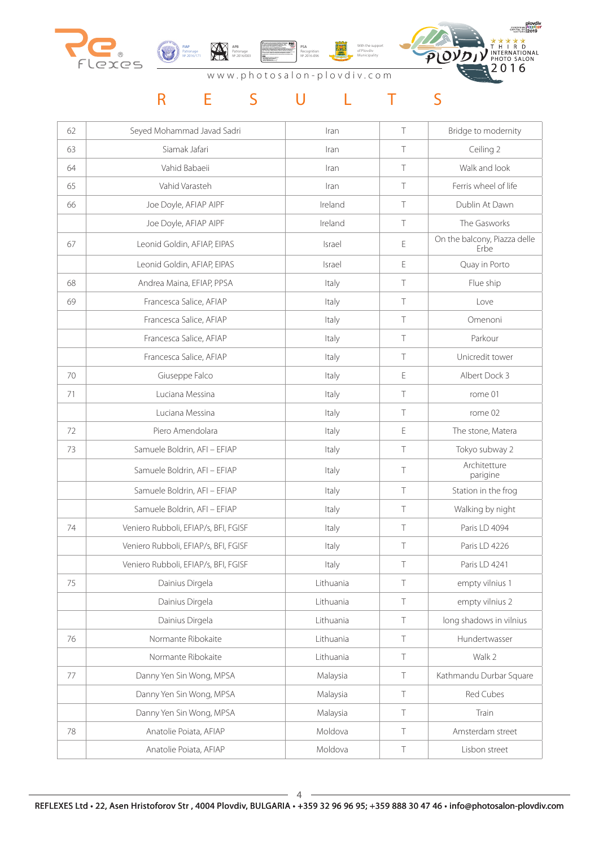





www.photosalon-plovdiv.com

| 62 | Seyed Mohammad Javad Sadri           | Iran      | Τ      | Bridge to modernity                  |
|----|--------------------------------------|-----------|--------|--------------------------------------|
| 63 | Siamak Jafari                        | Iran      | Τ      | Ceiling 2                            |
| 64 | Vahid Babaeii                        | Iran      | Τ      | Walk and look                        |
| 65 | Vahid Varasteh                       | Iran      | Τ      | Ferris wheel of life                 |
| 66 | Joe Doyle, AFIAP AIPF                | Ireland   | Τ      | Dublin At Dawn                       |
|    | Joe Doyle, AFIAP AIPF                | Ireland   | T      | The Gasworks                         |
| 67 | Leonid Goldin, AFIAP, EIPAS          | Israel    | E      | On the balcony, Piazza delle<br>Erbe |
|    | Leonid Goldin, AFIAP, EIPAS          | Israel    | E      | Quay in Porto                        |
| 68 | Andrea Maina, EFIAP, PPSA            | Italy     | Τ      | Flue ship                            |
| 69 | Francesca Salice, AFIAP              | Italy     | Τ      | Love                                 |
|    | Francesca Salice, AFIAP              | Italy     | T      | Omenoni                              |
|    | Francesca Salice, AFIAP              | Italy     | Τ      | Parkour                              |
|    | Francesca Salice, AFIAP              | Italy     | Τ      | Unicredit tower                      |
| 70 | Giuseppe Falco                       | Italy     | E      | Albert Dock 3                        |
| 71 | Luciana Messina                      | Italy     | Τ      | rome 01                              |
|    | Luciana Messina                      | Italy     | Τ      | rome 02                              |
| 72 | Piero Amendolara                     | Italy     | E      | The stone, Matera                    |
| 73 | Samuele Boldrin, AFI - EFIAP         | Italy     | Τ      | Tokyo subway 2                       |
|    | Samuele Boldrin, AFI - EFIAP         | Italy     | Τ      | Architetture<br>parigine             |
|    | Samuele Boldrin, AFI - EFIAP         | Italy     | T      | Station in the frog                  |
|    | Samuele Boldrin, AFI - EFIAP         | Italy     | Τ      | Walking by night                     |
| 74 | Veniero Rubboli, EFIAP/s, BFI, FGISF | Italy     | Τ      | Paris LD 4094                        |
|    | Veniero Rubboli, EFIAP/s, BFI, FGISF | Italy     |        | Paris LD 4226                        |
|    | Veniero Rubboli, EFIAP/s, BFI, FGISF | Italy     | T      | Paris LD 4241                        |
| 75 | Dainius Dirgela                      | Lithuania | $\top$ | empty vilnius 1                      |
|    | Dainius Dirgela                      | Lithuania | Τ      | empty vilnius 2                      |
|    | Dainius Dirgela                      | Lithuania | Τ      | long shadows in vilnius              |
| 76 | Normante Ribokaite                   | Lithuania | Τ      | Hundertwasser                        |
|    | Normante Ribokaite                   | Lithuania | Τ      | Walk 2                               |
| 77 | Danny Yen Sin Wong, MPSA             | Malaysia  | Τ      | Kathmandu Durbar Square              |
|    | Danny Yen Sin Wong, MPSA             | Malaysia  | Τ      | Red Cubes                            |
|    | Danny Yen Sin Wong, MPSA             | Malaysia  | Τ      | Train                                |
| 78 | Anatolie Poiata, AFIAP               | Moldova   | Τ      | Amsterdam street                     |
|    | Anatolie Poiata, AFIAP               | Moldova   | Τ      | Lisbon street                        |